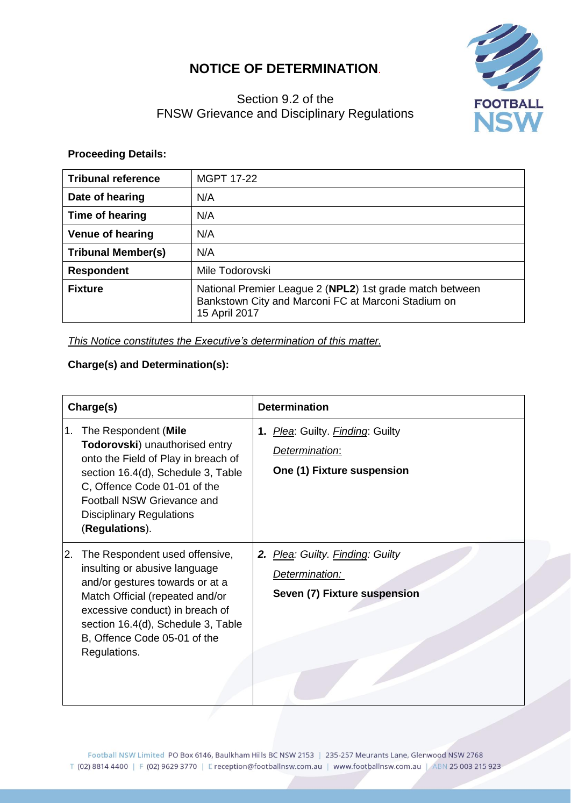# **NOTICE OF DETERMINATION**.



# Section 9.2 of the FNSW Grievance and Disciplinary Regulations

## **Proceeding Details:**

| <b>Tribunal reference</b> | <b>MGPT 17-22</b>                                                                                                                |
|---------------------------|----------------------------------------------------------------------------------------------------------------------------------|
| Date of hearing           | N/A                                                                                                                              |
| Time of hearing           | N/A                                                                                                                              |
| <b>Venue of hearing</b>   | N/A                                                                                                                              |
| <b>Tribunal Member(s)</b> | N/A                                                                                                                              |
| <b>Respondent</b>         | Mile Todorovski                                                                                                                  |
| <b>Fixture</b>            | National Premier League 2 (NPL2) 1st grade match between<br>Bankstown City and Marconi FC at Marconi Stadium on<br>15 April 2017 |

*This Notice constitutes the Executive's determination of this matter.*

## **Charge(s) and Determination(s):**

| Charge(s) |                                                                                                                                                                                                                                                                | <b>Determination</b>                                                               |
|-----------|----------------------------------------------------------------------------------------------------------------------------------------------------------------------------------------------------------------------------------------------------------------|------------------------------------------------------------------------------------|
| 1.        | The Respondent (Mile<br>Todorovski) unauthorised entry<br>onto the Field of Play in breach of<br>section 16.4(d), Schedule 3, Table<br>C, Offence Code 01-01 of the<br>Football NSW Grievance and<br><b>Disciplinary Regulations</b><br>(Regulations).         | 1. Plea: Guilty. Finding: Guilty<br>Determination:<br>One (1) Fixture suspension   |
| 2.        | The Respondent used offensive,<br>insulting or abusive language<br>and/or gestures towards or at a<br>Match Official (repeated and/or<br>excessive conduct) in breach of<br>section 16.4(d), Schedule 3, Table<br>B, Offence Code 05-01 of the<br>Regulations. | 2. Plea: Guilty. Finding: Guilty<br>Determination:<br>Seven (7) Fixture suspension |

Football NSW Limited PO Box 6146, Baulkham Hills BC NSW 2153 | 235-257 Meurants Lane, Glenwood NSW 2768 T (02) 8814 4400 | F (02) 9629 3770 | E reception@footballnsw.com.au | www.footballnsw.com.au | ABN 25 003 215 923